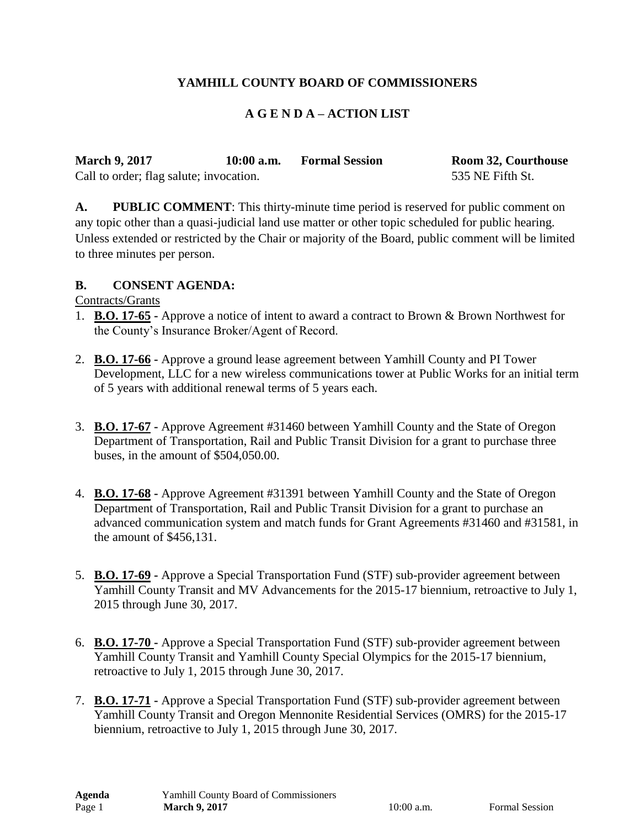# **YAMHILL COUNTY BOARD OF COMMISSIONERS**

#### **A G E N D A – ACTION LIST**

| <b>March 9, 2017</b>                    | $10:00$ a.m. | <b>Formal Session</b> | <b>Room 32, Courthouse</b> |
|-----------------------------------------|--------------|-----------------------|----------------------------|
| Call to order; flag salute; invocation. |              |                       | 535 NE Fifth St.           |

**A. PUBLIC COMMENT**: This thirty-minute time period is reserved for public comment on any topic other than a quasi-judicial land use matter or other topic scheduled for public hearing. Unless extended or restricted by the Chair or majority of the Board, public comment will be limited to three minutes per person.

#### **B. CONSENT AGENDA:**

Contracts/Grants

- 1. **B.O. 17-65 -** Approve a notice of intent to award a contract to Brown & Brown Northwest for the County's Insurance Broker/Agent of Record.
- 2. **B.O. 17-66 -** Approve a ground lease agreement between Yamhill County and PI Tower Development, LLC for a new wireless communications tower at Public Works for an initial term of 5 years with additional renewal terms of 5 years each.
- 3. **B.O. 17-67 -** Approve Agreement #31460 between Yamhill County and the State of Oregon Department of Transportation, Rail and Public Transit Division for a grant to purchase three buses, in the amount of \$504,050.00.
- 4. **B.O. 17-68 -** Approve Agreement #31391 between Yamhill County and the State of Oregon Department of Transportation, Rail and Public Transit Division for a grant to purchase an advanced communication system and match funds for Grant Agreements #31460 and #31581, in the amount of \$456,131.
- 5. **B.O. 17-69 -** Approve a Special Transportation Fund (STF) sub-provider agreement between Yamhill County Transit and MV Advancements for the 2015-17 biennium, retroactive to July 1, 2015 through June 30, 2017.
- 6. **B.O. 17-70 -** Approve a Special Transportation Fund (STF) sub-provider agreement between Yamhill County Transit and Yamhill County Special Olympics for the 2015-17 biennium, retroactive to July 1, 2015 through June 30, 2017.
- 7. **B.O. 17-71 -** Approve a Special Transportation Fund (STF) sub-provider agreement between Yamhill County Transit and Oregon Mennonite Residential Services (OMRS) for the 2015-17 biennium, retroactive to July 1, 2015 through June 30, 2017.